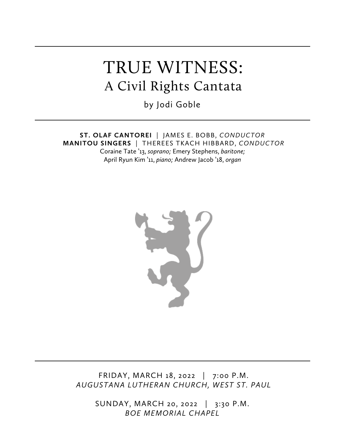# TRUE WITNESS: A Civil Rights Cantata

by Jodi Goble

**ST. OLAF CANTOREI** | JAMES E. BOBB, *CONDUCTOR* **MANITOU SINGERS** | THEREES TKACH HIBBARD, *CONDUCTOR* Coraine Tate '13, *soprano;* Emery Stephens, *baritone;* April Ryun Kim '11, *piano;* Andrew Jacob '18, *organ*



FRIDAY, MARCH 18, 2022 | 7:00 P.M. *AUGUSTANA LUTHERAN CHURCH, WEST ST. PAUL*

> SUNDAY, MARCH 20, 2022 | 3:30 P.M. *BOE MEMORIAL CHAPEL*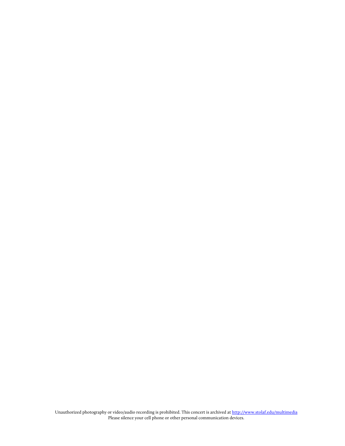Unauthorized photography or video/audio recording is prohibited. This concert is archived at http://www.stolaf.edu/multimedia Please silence your cell phone or other personal communication devices.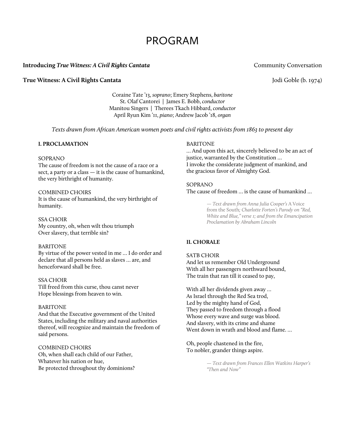# PROGRAM

# **Introducing** *True Witness: A Civil Rights Cantata Community Conversation*

# **True Witness: A Civil Rights Cantata** Jodi Goble (b. 1974)

Coraine Tate '13, *soprano*; Emery Stephens, *baritone* St. Olaf Cantorei | James E. Bobb, *conductor* Manitou Singers | Therees Tkach Hibbard, *conductor* April Ryun Kim '11, *piano*; Andrew Jacob '18, *organ*

*Texts drawn from African American women poets and civil rights activists from 1863 to present day*

# **I. PROCLAMATION**

# SOPRANO

The cause of freedom is not the cause of a race or a sect, a party or a class — it is the cause of humankind, the very birthright of humanity.

## COMBINED CHOIRS

It is the cause of humankind, the very birthright of humanity.

#### SSA CHOIR

My country, oh, when wilt thou triumph Over slavery, that terrible sin?

#### BARITONE

By virtue of the power vested in me … I do order and declare that all persons held as slaves … are, and henceforward shall be free.

#### SSA CHOIR

Till freed from this curse, thou canst never Hope blessings from heaven to win.

# BARITONE

And that the Executive government of the United States, including the military and naval authorities thereof, will recognize and maintain the freedom of said persons.

COMBINED CHOIRS Oh, when shall each child of our Father, Whatever his nation or hue, Be protected throughout thy dominions?

#### BARITONE

… And upon this act, sincerely believed to be an act of justice, warranted by the Constitution … I invoke the considerate judgment of mankind, and the gracious favor of Almighty God.

### SOPRANO

The cause of freedom … is the cause of humankind …

*— Text drawn from Anna Julia Cooper's* A Voice from the South*; Charlotte Forten's Parody on "Red, White and Blue," verse 1; and from the Emancipation Proclamation by Abraham Lincoln*

# **II. CHORALE**

# SATB CHOIR And let us remember Old Underground With all her passengers northward bound, The train that ran till it ceased to pay,

With all her dividends given away … As Israel through the Red Sea trod, Led by the mighty hand of God, They passed to freedom through a flood Whose every wave and surge was blood. And slavery, with its crime and shame Went down in wrath and blood and flame. ...

Oh, people chastened in the fire, To nobler, grander things aspire.

> *— Text drawn from Frances Ellen Watkins Harper's "Then and Now"*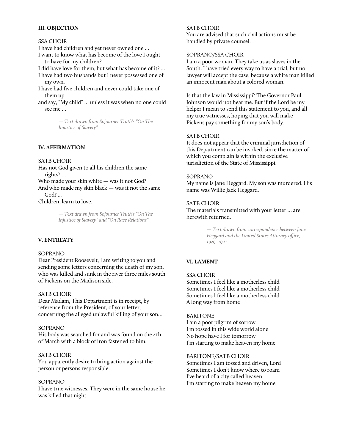# **III. OBJECTION**

# SSA CHOIR

I have had children and yet never owned one …

I want to know what has become of the love I ought to have for my children?

I did have love for them, but what has become of it? …

- I have had two husbands but I never possessed one of my own.
- I have had five children and never could take one of them up
- and say, "My child" … unless it was when no one could see me …

*— Text drawn from Sojourner Truth's "On The Injustice of Slavery"*

#### **IV. AFFIRMATION**

# SATB CHOIR

Has not God given to all his children the same rights? …

Who made your skin white — was it not God?

And who made my skin black — was it not the same God? ...

Children, learn to love.

*— Text drawn from Sojourner Truth's "On The Injustice of Slavery" and "On Race Relations"*

### **V. ENTREATY**

#### SOPRANO

Dear President Roosevelt, I am writing to you and sending some letters concerning the death of my son, who was killed and sunk in the river three miles south of Pickens on the Madison side.

### SATB CHOIR

Dear Madam, This Department is in receipt, by reference from the President, of your letter, concerning the alleged unlawful killing of your son…

### SOPRANO

His body was searched for and was found on the 4th of March with a block of iron fastened to him.

### SATB CHOIR

You apparently desire to bring action against the person or persons responsible.

#### SOPRANO

I have true witnesses. They were in the same house he was killed that night.

#### SATB CHOIR

You are advised that such civil actions must be handled by private counsel.

#### SOPRANO/SSA CHOIR

I am a poor woman. They take us as slaves in the South. I have tried every way to have a trial, but no lawyer will accept the case, because a white man killed an innocent man about a colored woman.

Is that the law in Mississippi? The Governor Paul Johnson would not hear me. But if the Lord be my helper I mean to send this statement to you, and all my true witnesses, hoping that you will make Pickens pay something for my son's body.

#### SATB CHOIR

It does not appear that the criminal jurisdiction of this Department can be invoked, since the matter of which you complain is within the exclusive jurisdiction of the State of Mississippi.

#### SOPRANO

My name is Jane Heggard. My son was murdered. His name was Willie Jack Heggard.

#### SATB CHOIR

The materials transmitted with your letter … are herewith returned.

> *— Text drawn from correspondence between Jane Heggard and the United States Attorney office, 1939–1941*

# **VI. LAMENT**

# SSA CHOIR

Sometimes I feel like a motherless child Sometimes I feel like a motherless child Sometimes I feel like a motherless child A long way from home

### BARITONE

I am a poor pilgrim of sorrow I'm tossed in this wide world alone No hope have I for tomorrow I'm starting to make heaven my home

BARITONE/SATB CHOIR Sometimes I am tossed and driven, Lord Sometimes I don't know where to roam I've heard of a city called heaven I'm starting to make heaven my home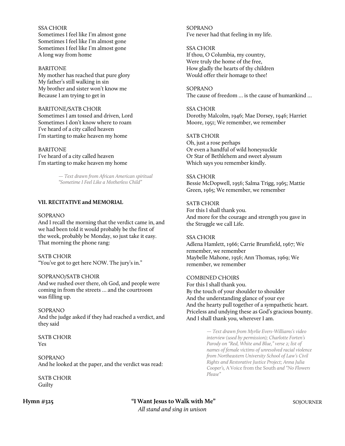# SSA CHOIR

Sometimes I feel like I'm almost gone Sometimes I feel like I'm almost gone Sometimes I feel like I'm almost gone A long way from home

#### BARITONE

My mother has reached that pure glory My father's still walking in sin My brother and sister won't know me Because I am trying to get in

### BARITONE/SATB CHOIR

Sometimes I am tossed and driven, Lord Sometimes I don't know where to roam I've heard of a city called heaven I'm starting to make heaven my home

# BARITONE I've heard of a city called heaven I'm starting to make heaven my home

*— Text drawn from African American spiritual "Sometime I Feel Like a Motherless Child"*

# **VII. RECITATIVE and MEMORIAL**

#### SOPRANO

And I recall the morning that the verdict came in, and we had been told it would probably be the first of the week, probably be Monday, so just take it easy. That morning the phone rang:

#### SATB CHOIR

"You've got to get here NOW. The jury's in."

#### SOPRANO/SATB CHOIR

And we rushed over there, oh God, and people were coming in from the streets … and the courtroom was filling up.

# SOPRANO

And the judge asked if they had reached a verdict, and they said

SATB CHOIR Yes

SOPRANO And he looked at the paper, and the verdict was read:

SATB CHOIR Guilty

SOPRANO I've never had that feeling in my life.

# SSA CHOIR If thou, O Columbia, my country, Were truly the home of the free, How gladly the hearts of thy children Would offer their homage to thee!

SOPRANO The cause of freedom … is the cause of humankind …

# SSA CHOIR Dorothy Malcolm, 1946; Mae Dorsey, 1946; Harriet Moore, 1951; We remember, we remember

# SATB CHOIR

Oh, just a rose perhaps Or even a handful of wild honeysuckle Or Star of Bethlehem and sweet alyssum Which says you remember kindly.

#### SSA CHOIR

Bessie McDopwell, 1956; Salma Trigg, 1965; Mattie Green, 1965; We remember, we remember

# SATB CHOIR For this I shall thank you. And more for the courage and strength you gave in the Struggle we call Life.

#### SSA CHOIR

Adlena Hamlett, 1966; Carrie Brumfield, 1967; We remember, we remember Maybelle Mahone, 1956; Ann Thomas, 1969; We remember, we remember

#### COMBINED CHOIRS

For this I shall thank you. By the touch of your shoulder to shoulder And the understanding glance of your eye And the hearty pull together of a sympathetic heart. Priceless and undying these as God's gracious bounty. And I shall thank you, wherever I am.

> *— Text drawn from Myrlie Evers-Williams's video interview (used by permission); Charlotte Forten's Parody on "Red, White and Blue," verse 2; list of names of female victims of unresolved racial violence from Northeastern University School of Law's Civil Rights and Restorative Justice Project; Anna Julia Cooper's,* A Voice from the South *and "No Flowers Please"*

**Hymn #325 "I Want Jesus to Walk with Me"** SOJOURNER *All stand and sing in unison*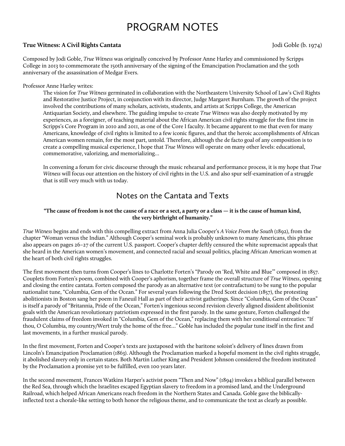# PROGRAM NOTES

# **True Witness: A Civil Rights Cantata** Jodi Goble (b. 1974)

Composed by Jodi Goble, *True Witness* was originally conceived by Professor Anne Harley and commissioned by Scripps College in 2013 to commemorate the 150th anniversary of the signing of the Emancipation Proclamation and the 50th anniversary of the assassination of Medgar Evers.

# Professor Anne Harley writes:

The vision for *True Witness* germinated in collaboration with the Northeastern University School of Law's Civil Rights and Restorative Justice Project, in conjunction with its director, Judge Margaret Burnham. The growth of the project involved the contributions of many scholars, activists, students, and artists at Scripps College, the American Antiquarian Society, and elsewhere. The guiding impulse to create *True Witness* was also deeply motivated by my experiences, as a foreigner, of teaching material about the African American civil rights struggle for the first time in Scripps's Core Program in 2010 and 2011, as one of the Core I faculty. It became apparent to me that even for many Americans, knowledge of civil rights is limited to a few iconic figures, and that the heroic accomplishments of African American women remain, for the most part, untold. Therefore, although the de facto goal of any composition is to create a compelling musical experience, I hope that *True Witness* will operate on many other levels: educational, commemorative, valorizing, and memorializing…

In convening a forum for civic discourse through the music rehearsal and performance process, it is my hope that *True Witness* will focus our attention on the history of civil rights in the U.S. and also spur self-examination of a struggle that is still very much with us today.

# Notes on the Cantata and Texts

# **"The cause of freedom is not the cause of a race or a sect, a party or a class — it is the cause of human kind, the very birthright of humanity."**

*True Witness* begins and ends with this compelling extract from Anna Julia Cooper's *A Voice From the South* (1892), from the chapter "Woman versus the Indian." Although Cooper's seminal work is probably unknown to many Americans, this phrase also appears on pages 26–27 of the current U.S. passport. Cooper's chapter deftly censured the white supremacist appeals that she heard in the American women's movement, and connected racial and sexual politics, placing African American women at the heart of both civil rights struggles.

The first movement then turns from Cooper's lines to Charlotte Forten's "Parody on 'Red, White and Blue'" composed in 1857. Couplets from Forten's poem, combined with Cooper's aphorism, together frame the overall structure of *True Witness*, opening and closing the entire cantata. Forten composed the parody as an alternative text (or contrafactum) to be sung to the popular nationalist tune, "Columbia, Gem of the Ocean." For several years following the Dred Scott decision (1857), the protesting abolitionists in Boston sang her poem in Faneuil Hall as part of their activist gatherings. Since "Columbia, Gem of the Ocean" is itself a parody of "Britannia, Pride of the Ocean," Forten's ingenious second revision cleverly aligned dissident abolitionist goals with the American revolutionary patriotism expressed in the first parody. In the same gesture, Forten challenged the fraudulent claims of freedom invoked in "Columbia, Gem of the Ocean," replacing them with her conditional entreaties: "If thou, O Columbia, my country/Wert truly the home of the free…" Goble has included the popular tune itself in the first and last movements, in a further musical parody.

In the first movement, Forten and Cooper's texts are juxtaposed with the baritone soloist's delivery of lines drawn from Lincoln's Emancipation Proclamation (1863). Although the Proclamation marked a hopeful moment in the civil rights struggle, it abolished slavery only in certain states. Both Martin Luther King and President Johnson considered the freedom instituted by the Proclamation a promise yet to be fulfilled, even 100 years later.

In the second movement, Frances Watkins Harper's activist poem "Then and Now" (1894) invokes a biblical parallel between the Red Sea, through which the Israelites escaped Egyptian slavery to freedom in a promised land, and the Underground Railroad, which helped African Americans reach freedom in the Northern States and Canada. Goble gave the biblicallyinflected text a chorale-like setting to both honor the religious theme, and to communicate the text as clearly as possible.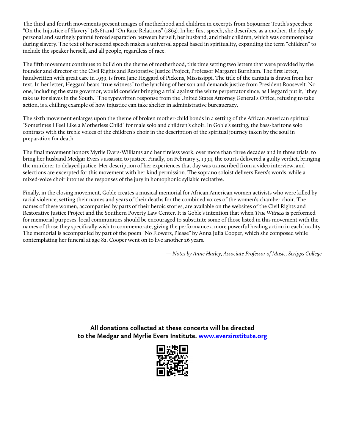The third and fourth movements present images of motherhood and children in excerpts from Sojourner Truth's speeches: "On the Injustice of Slavery" (1856) and "On Race Relations" (1863). In her first speech, she describes, as a mother, the deeply personal and searingly painful forced separation between herself, her husband, and their children, which was commonplace during slavery. The text of her second speech makes a universal appeal based in spirituality, expanding the term "children" to include the speaker herself, and all people, regardless of race.

The fifth movement continues to build on the theme of motherhood, this time setting two letters that were provided by the founder and director of the Civil Rights and Restorative Justice Project, Professor Margaret Burnham. The first letter, handwritten with great care in 1939, is from Jane Heggard of Pickens, Mississippi. The title of the cantata is drawn from her text. In her letter, Heggard bears "true witness" to the lynching of her son and demands justice from President Roosevelt. No one, including the state governor, would consider bringing a trial against the white perpetrator since, as Heggard put it, "they take us for slaves in the South." The typewritten response from the United States Attorney General's Office, refusing to take action, is a chilling example of how injustice can take shelter in administrative bureaucracy.

The sixth movement enlarges upon the theme of broken mother-child bonds in a setting of the African American spiritual "Sometimes I Feel Like a Motherless Child" for male solo and children's choir. In Goble's setting, the bass-baritone solo contrasts with the treble voices of the children's choir in the description of the spiritual journey taken by the soul in preparation for death.

The final movement honors Myrlie Evers-Williams and her tireless work, over more than three decades and in three trials, to bring her husband Medgar Evers's assassin to justice. Finally, on February 5, 1994, the courts delivered a guilty verdict, bringing the murderer to delayed justice. Her description of her experiences that day was transcribed from a video interview, and selections are excerpted for this movement with her kind permission. The soprano soloist delivers Evers's words, while a mixed-voice choir intones the responses of the jury in homophonic syllabic recitative.

Finally, in the closing movement, Goble creates a musical memorial for African American women activists who were killed by racial violence, setting their names and years of their deaths for the combined voices of the women's chamber choir. The names of these women, accompanied by parts of their heroic stories, are available on the websites of the Civil Rights and Restorative Justice Project and the Southern Poverty Law Center. It is Goble's intention that when *True Witness* is performed for memorial purposes, local communities should be encouraged to substitute some of those listed in this movement with the names of those they specifically wish to commemorate, giving the performance a more powerful healing action in each locality. The memorial is accompanied by part of the poem "No Flowers, Please" by Anna Julia Cooper, which she composed while contemplating her funeral at age 82. Cooper went on to live another 26 years.

 *— Notes by Anne Harley, Associate Professor of Music, Scripps College*

**All donations collected at these concerts will be directed to the Medgar and Myrlie Evers Institute. www.eversinstitute.org**

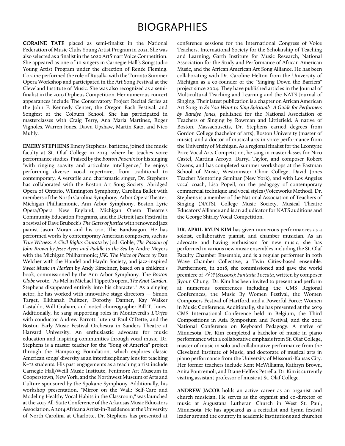# BIOGRAPHIES

**CORAINE TATE** placed as semi-finalist in the National Federation of Music Clubs Young Artist Program in 2021. She was also selected as a finalist in the 2020 ArtSmart Voice Competition. She appeared as one of 10 singers in Carnegie Hall's Songstudio Young Artist Program under the direction of Renée Fleming. Coraine performed the role of Rusalka with the Toronto Summer Opera Workshop and participated in the Art Song Festival at the Cleveland Institute of Music. She was also recognized as a semifinalist in the 2019 Orpheus Competition. Her numerous concert appearances include The Conservatory Project Recital Series at the John F. Kennedy Center, the Oregon Bach Festival, and Songfest at the Colburn School. She has participated in masterclasses with Craig Terry, Ana Maria Martinez, Roger Vignoles, Warren Jones, Dawn Upshaw, Martin Katz, and Nico Muhly.

**EMERY STEPHENS** Emery Stephens, baritone, joined the music faculty at St. Olaf College in 2019, where he teaches voice performance studies. Praised by the *Boston Phoenix* for his singing "with ringing suavity and articulate intelligence," he enjoys performing diverse vocal repertoire, from traditional to contemporary. A versatile and charismatic singer, Dr. Stephens has collaborated with the Boston Art Song Society, Abridged Opera of Ontario, Wilmington Symphony, Carolina Ballet with members of the North Carolina Symphony, Arbor Opera Theater, Michigan Philharmonic, Ann Arbor Symphony, Boston Lyric Opera/Opera New England, Michigan Opera Theatre's Community Education Programs, and the Detroit Jazz Festival in a revival of Dave Brubeck's *The Gates of Justice* with renowned jazz pianist Jason Moran and his trio, The Bandwagon. He has performed works by contemporary American composers, such as *True Witness: A Civil Rights Cantata* by Jodi Goble; *The Passion of John Brown by Jesse Ayers and Paddle to the Sea* by Andre Meyers with the Michigan Philharmonic; *JFK: The Voice of Peace* by Dan Welcher with the Handel and Haydn Society, and jazz-inspired *Sweet Music in Harlem* by Andy Kirschner, based on a children's book, commissioned by the Ann Arbor Symphony. The *Boston Globe* wrote, "As Mel in Michael Tippett's opera, *The Knot Garden*, Stephens disappeared entirely into his character." As a singing actor, he has worked with innovative stage directors — Simon Target, Elkhanah Pulitzer, Dorothy Danner, Kay Walker Castaldo, Will Graham, and noted choreographer Bill T. Jones. Additionally, he sang supporting roles in Monteverdi's *L'Orfeo*  with conductor Andrew Parrott, lutenist Paul O'Dette, and the Boston Early Music Festival Orchestra in Sanders Theatre at Harvard University. An enthusiastic advocate for music education and inspiring communities through vocal music, Dr. Stephens is a master teacher for the "Song of America" project through the Hampsong Foundation, which explores classic American songs' diversity as an interdisciplinary lens for teaching K–12 students. His past engagements as a teaching artist include Carnegie Hall/Weill Music Institute, Fenimore Art Museum in Cooperstown, New York, and the Northwest Museum of Arts and Culture sponsored by the Spokane Symphony. Additionally, his workshop presentation, "Mirror on the Wall: Self-Care and Modeling Healthy Vocal Habits in the Classroom," was launched at the 2017 All-State Conference of the Arkansas Music Educators Association. A 2014 Africana Artist-in-Residence at the University of North Carolina at Charlotte, Dr. Stephens has presented at

conference sessions for the International Congress of Voice Teachers, International Society for the Scholarship of Teaching and Learning, Garth Institute for Music Research, National Association for the Study and Performance of African American Music, and the African American Art Song Alliance. He has been collaborating with Dr. Caroline Helton from the University of Michigan as a co-founder of the "Singing Down the Barriers" project since 2004. They have published articles in the Journal of Multicultural Teaching and Learning and the NATS Journal of Singing. Their latest publication is a chapter on African American Art Song in *So You Want to Sing Spirituals: A Guide for Performers by Randye Jones*, published for the National Association of Teachers of Singing by Rowman and Littlefield. A native of Boston, Massachusetts, Dr. Stephens earned degrees from Gordon College (bachelor of arts), Boston University (master of music), and a doctor of musical arts in voice performance from the University of Michigan. As a regional finalist for the Leontyne Price Vocal Arts Competition, he sang in masterclasses for Nico Castel, Martina Arroyo, Darryl Taylor, and composer Robert Owens, and has completed summer workshops at the Eastman School of Music, Westminster Choir College, David Jones Teacher Mentoring Seminar (New York), and with Los Angeles vocal coach, Lisa Popeil, on the pedagogy of contemporary commercial technique and vocal styles (Voiceworks Method). Dr. Stephens is a member of the National Association of Teachers of Singing (NATS), College Music Society, Musical Theatre Educators' Alliance and is an adjudicator for NATS auditions and the George Shirley Vocal Competition.

**DR. APRIL RYUN KIM** has given numerous performances as a soloist, collaborative pianist, and chamber musician. As an advocate and having enthusiasm for new music, she has performed in various new music ensembles including the St. Olaf Faculty Chamber Ensemble, and is a regular performer in 10th Wave Chamber Collective, a Twin Cities-based ensemble. Furthermore, in 2018, she commissioned and gave the world premiere of 가위 *(Scissors): Fantasia Toccata*, written by composer Jiyoun Chung. Dr. Kim has been invited to present and perform at numerous conferences including the CMS Regional Conferences, the Music By Women Festival, the Women Composers Festival of Hartford, and a Powerful Force: Women in Music Conference. Additionally, she has presented at the 2019 CMS International Conference held in Belgium, the Third Compositions in Asia Symposium and Festival, and the 2021 National Conference on Keyboard Pedagogy. A native of Minnesota, Dr. Kim completed a bachelor of music in piano performance with a collaborative emphasis from St. Olaf College, master of music in solo and collaborative performance from the Cleveland Institute of Music, and doctorate of musical arts in piano performance from the University of Missouri-Kansas City. Her former teachers include Kent McWilliams, Kathryn Brown, Anita Pontremoli, and Diane Helfers Petrella. Dr. Kim is currently visiting assistant professor of music at St. Olaf College.

**ANDREW JACOB** holds an active career as an organist and church musician. He serves as the organist and co-director of music at Augustana Lutheran Church in West St. Paul, Minnesota. He has appeared as a recitalist and hymn festival leader around the country in academic institutions and churches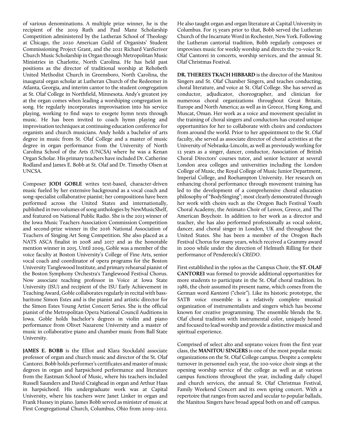of various denominations. A multiple prize winner, he is the recipient of the 2019 Ruth and Paul Manz Scholarship Competition administered by the Lutheran School of Theology at Chicago, the 2020 American Guild of Organists' Student Commissioning Project Grant, and the 2021 Richard VanScriver Church Music Scholarship in Organ through Metropolitan Music Ministries in Charlotte, North Carolina. He has held past positions as the director of traditional worship at Rehobeth United Methodist Church in Greensboro, North Carolina, the inaugural organ scholar at Lutheran Church of the Redeemer in Atlanta, Georgia, and interim cantor to the student congregation at St. Olaf College in Northfield, Minnesota. Andy's greatest joy at the organ comes when leading a worshiping congregation in song. He regularly incorporates improvisation into his service playing, working to find ways to exegete hymn texts through music. He has been invited to coach hymn playing and improvisation techniques at continuing education conference for organists and church musicians. Andy holds a bachelor of arts degree in music from St. Olaf College and a master of music degree in organ performance from the University of North Carolina School of the Arts (UNCSA) where he was a Kenan Organ Scholar. His primary teachers have included Dr. Catherine Rodland and James E. Bobb at St. Olaf and Dr. Timothy Olsen at UNCSA.

Composer **JODI GOBLE** writes text-based, character-driven music fueled by her extensive background as a vocal coach and song-specialist collaborative pianist; her compositions have been performed across the United States and internationally, published in two volumes of song anthologies by NewMusicShelf, and featured on National Public Radio. She is the 2013 winner of the Iowa Music Teachers Association Commission Competition and second-prize winner in the 2016 National Association of Teachers of Singing Art Song Competition. She also placed as a NATS ASCA finalist in 2008 and 2017 and as the honorable mention winner in 2015. Until 2009, Goble was a member of the voice faculty at Boston University's College of Fine Arts, senior vocal coach and coordinator of opera programs for the Boston University Tanglewood Institute, and primary rehearsal pianist of the Boston Symphony Orchestra's Tanglewood Festival Chorus. Now associate teaching professor in Voice at Iowa State University (ISU) and recipient of the ISU Early Achievement in Teaching Award, Goble collaborates regularly in recital with bassbaritone Simon Estes and is the pianist and artistic director for the Simon Estes Young Artist Concert Series. She is the official pianist of the Metropolitan Opera National Council Auditions in Iowa. Goble holds bachelor's degrees in violin and piano performance from Olivet Nazarene University and a master of music in collaborative piano and chamber music from Ball State University.

**JAMES E. BOBB** is the Elliot and Klara Stockdahl associate professor of organ and church music and director of the St. Olaf Cantorei. Bobb holds performer's certificates and master of music degrees in organ and harpsichord performance and literature from the Eastman School of Music, where his teachers included Russell Saunders and David Craighead in organ and Arthur Haas in harpsichord. His undergraduate work was at Capital University, where his teachers were Janet Linker in organ and Frank Hussey in piano. James Bobb served as minister of music at First Congregational Church, Columbus, Ohio from 2009–2012.

He also taught organ and organ literature at Capital University in Columbus. For 15 years prior to that, Bobb served the Lutheran Church of the Incarnate Word in Rochester, New York. Following the Lutheran cantorial tradition, Bobb regularly composes or improvises music for weekly worship and directs the 70-voice St. Olaf Cantorei in concerts, worship services, and the annual St. Olaf Christmas Festival.

**DR. THEREES TKACH HIBBARD** is the director of the Manitou Singers and St. Olaf Chamber Singers, and teaches conducting, choral literature, and voice at St. Olaf College. She has served as conductor, adjudicator, choreographer, and clinician for numerous choral organizations throughout Great Britain, Europe and North America; as well as in Greece, Hong Kong, and Muscat, Oman. Her work as a voice and movement specialist in the training of choral singers and conductors has created unique opportunities for her to collaborate with choirs and conductors from around the world. Prior to her appointment to the St. Olaf faculty, she served as associate director of choral activities at the University of Nebraska-Lincoln, as well as previously working for 12 years as a singer, dancer, conductor, Association of British Choral Directors' courses tutor, and senior lecturer at several London area colleges and universities including the London College of Music, the Royal College of Music Junior Department, Imperial College, and Roehampton University. Her research on enhancing choral performance through movement training has led to the development of a comprehensive choral education philosophy of "BodySinging"; most clearly demonstrated through her work with choirs such as the Oregon Bach Festival Youth Choral Academy, the Animato Choir of Lesvos, Greece, and The American Boychoir. In addition to her work as a director and teacher, she has also performed professionally as vocal soloist, dancer, and choral singer in London, UK and throughout the United States. She has been a member of the Oregon Bach Festival Chorus for many years, which received a Grammy award in 2000 while under the direction of Helmuth Rilling for their performance of Penderecki's *CREDO*.

First established in the 1960s as the Campus Choir, the **ST. OLAF CANTOREI** was formed to provide additional opportunities for more students to participate in the St. Olaf choral tradition. In 1986, the choir assumed its present name, which comes from the German word *Kantorei* ("choir"). Like its historic prototype, the SATB voice ensemble is a relatively complete musical organization of instrumentalists and singers which has become known for creative programming. The ensemble blends the St. Olaf choral tradition with instrumental color, uniquely honed and focused to lead worship and provide a distinctive musical and spiritual experience.

Comprised of select alto and soprano voices from the first year class, the **MANITOU SINGERS** is one of the most popular music organizations on the St. Olaf College campus. Despite a complete turnover in personnel each year, the 100-voice choir sings at the opening worship service of the college as well as at various campus functions throughout the year, including daily chapel and church services, the annual St. Olaf Christmas Festival, Family Weekend Concert and its own spring concert. With a repertoire that ranges from sacred and secular to popular ballads, the Manitou Singers have broad appeal both on and off campus.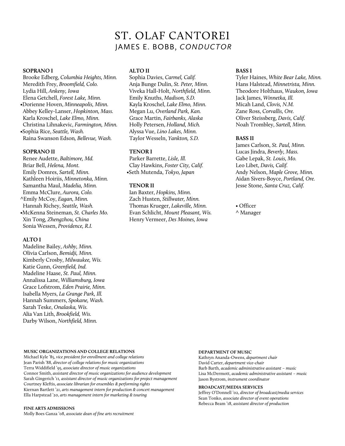# ST. OLAF CANTOREI JAMES E. BOBB, *CONDUCTOR*

#### **SOPRANO I**

Brooke Edberg, *Columbia Heights, Minn.* Meredith Frey, *Broomfield, Colo.* Lydia Hill, *Ankeny, Iowa* Elena Getchell, *Forest Lake, Minn.* •Dorienne Hoven, *Minneapolis, Minn.* Abbey Kelley-Lanser, *Hopkinton, Mass.* Karla Kroschel, *Lake Elmo, Minn.* Christina Lihnakevic, *Farmington, Minn.* •Sophia Rice, *Seattle, Wash.* Raina Swanson Edson*, Bellevue, Wash.*

#### **SOPRANO II**

Renee Audette, *Baltimore, Md.* Briar Bell, *Helena, Mont.* Emily Domres, *Sartell, Minn.* Kathleen Hoiriis, *Minnetonka, Minn.* Samantha Maul, *Madelia, Minn.* Emma McClure, *Aurora, Colo.* ^Emily McCoy, *Eagan, Minn.* Hannah Richey, *Seattle, Wash.* •McKenna Steineman, *St. Charles Mo.* Xin Tong, *Zhengzhou, China* Sonia Wessen, *Providence, R.I.*

#### **ALTO I**

Madeline Bailey, *Ashby, Minn.* Olivia Carlson, *Bemidji, Minn.* Kimberly Crosby, *Milwaukee, Wis.* Katie Gunn, *Greenfield, Ind.* Madeline Haase, *St. Paul, Minn.* Annalissa Lane, *Williamsburg, Iowa* Grace Lofstrom, *Eden Prairie, Minn.* Isabella Myers, *La Grange Park, Ill.* Hannah Summers, *Spokane, Wash.* Sarah Teske, *Onalaska, Wis.* Alia Van Lith, *Brookfield, Wis.* Darby Wilson, *Northfield, Minn.*

### **ALTO II**

Sophia Davies, *Carmel, Calif.* Anja Bunge Dulin, *St. Peter, Minn.* Viveka Hall-Holt, *Northfield, Minn.* Emily Knuths, *Madison, S.D.* Kayla Kroschel, *Lake Elmo, Minn.* Megan Lu, *Overland Park, Kan.* Grace Martin, *Fairbanks, Alaska* Holly Petersen, *Holland, Mich.* Alyssa Vue, *Lino Lakes, Minn.* Taylor Wesseln, *Yankton, S.D.*

# **TENOR I**

Parker Barrette, *Lisle, Ill.* Clay Hawkins, *Foster City, Calif.* •Seth Mutenda, *Tokyo, Japan*

#### **TENOR II**

Ian Baxter, *Hopkins, Minn.* Zach Husten, *Stillwater, Minn.* Thomas Krueger, *Lakeville, Minn.* Evan Schlicht, *Mount Pleasant, Wis.* Henry Vermeer, *Des Moines, Iowa*

#### **BASS I**

Tyler Haines, *White Bear Lake, Minn.* Hans Halstead, *Minnetrista, Minn.* Theodore Holthaus, *Waukon, Iowa* Jack James, *Winnetka, Ill.* Micah Land, *Clovis, N.M.* Zane Ross, *Corvallis, Ore.* Oliver Steissberg, *Davis, Calif.* Noah Trombley, *Sartell, Minn.*

#### **BASS II**

James Carlson, *St. Paul, Minn.* Lucas Jindra, *Beverly, Mass.* Gabe Lepak, *St. Louis, Mo.* Leo Libet, *Davis, Calif.* Andy Nelson, *Maple Grove, Minn.* Aidan Sivers-Boyce, *Portland, Ore.* Jesse Stone, *Santa Cruz, Calif.*

• Officer ^ Manager

#### **MUSIC ORGANIZATIONS AND COLLEGE RELATIONS**

Michael Kyle '85, *vice president for enrollment and college relations* Jean Parish '88, *director of college relations for music organizations*  Terra Widdifield '95, *associate director of music organizations*  Connor Smith, *assistant director of music organizations for audience development* Sarah Gingerich '11*, assistant director of music organizations for project management* Courtney Kleftis, *associate librarian for ensembles & performing rights* Kiernan Bartlett '21, *arts management intern for production & concert management* Ella Harpstead '20, *arts management intern for marketing & touring*

**FINE ARTS ADMISSIONS** 

Molly Boes Ganza '08, *associate dean of fine arts recruitment*

#### **DEPARTMENT OF MUSIC**

Kathryn Ananda-Owens, *department chair* David Carter, *department vice-chair* Barb Barth, *academic administrative assistant – music* Lisa McDermott, *academic administrative assistant – music*  Jason Bystrom, *instrument coordinator*

#### **BROADCAST/MEDIA SERVICES**

Jeffrey O'Donnell '02, *director of broadcast/media services* Sean Tonko, *associate director of event operations* Rebecca Beam '18, *assistant director of production*